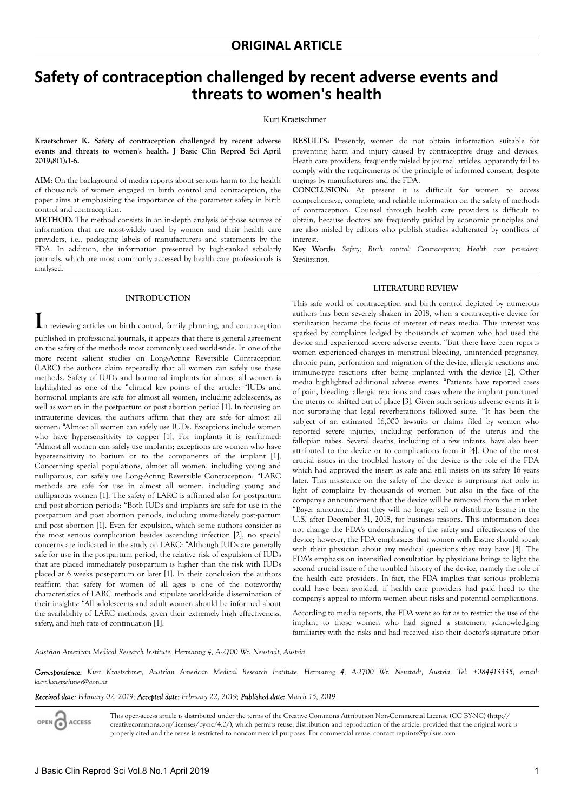# **Safety of contraception challenged by recent adverse events and threats to women's health**

#### Kurt Kraetschmer

**Kraetschmer K. Safety of contraception challenged by recent adverse events and threats to women's health. J Basic Clin Reprod Sci April 2019;8(1):1-6.**

**AIM**: On the background of media reports about serious harm to the health of thousands of women engaged in birth control and contraception, the paper aims at emphasizing the importance of the parameter safety in birth control and contraception.

**METHOD:** The method consists in an in-depth analysis of those sources of information that are most-widely used by women and their health care providers, i.e., packaging labels of manufacturers and statements by the FDA. In addition, the information presented by high-ranked scholarly journals, which are most commonly accessed by health care professionals is analysed.

#### **INTRODUCTION**

**I**n reviewing articles on birth control, family planning, and contraception published in professional journals, it appears that there is general agreement on the safety of the methods most commonly used world-wide. In one of the more recent salient studies on Long-Acting Reversible Contraception (LARC) the authors claim repeatedly that all women can safely use these methods. Safety of IUDs and hormonal implants for almost all women is highlighted as one of the "clinical key points of the article: "IUDs and hormonal implants are safe for almost all women, including adolescents, as well as women in the postpartum or post abortion period [1]. In focusing on intrauterine devices, the authors affirm that they are safe for almost all women: "Almost all women can safely use IUDs. Exceptions include women who have hypersensitivity to copper [1], For implants it is reaffirmed: "Almost all women can safely use implants; exceptions are women who have hypersensitivity to barium or to the components of the implant [1], Concerning special populations, almost all women, including young and nulliparous, can safely use Long-Acting Reversible Contraception: "LARC methods are safe for use in almost all women, including young and nulliparous women [1]. The safety of LARC is affirmed also for postpartum and post abortion periods: "Both IUDs and implants are safe for use in the postpartum and post abortion periods, including immediately post-partum and post abortion [1]. Even for expulsion, which some authors consider as the most serious complication besides ascending infection [2], no special concerns are indicated in the study on LARC: "Although IUDs are generally safe for use in the postpartum period, the relative risk of expulsion of IUDs that are placed immediately post-partum is higher than the risk with IUDs placed at 6 weeks post-partum or later [1]. In their conclusion the authors reaffirm that safety for women of all ages is one of the noteworthy characteristics of LARC methods and stipulate world-wide dissemination of their insights: "All adolescents and adult women should be informed about the availability of LARC methods, given their extremely high effectiveness, safety, and high rate of continuation [1].

**RESULTS:** Presently, women do not obtain information suitable for preventing harm and injury caused by contraceptive drugs and devices. Heath care providers, frequently misled by journal articles, apparently fail to comply with the requirements of the principle of informed consent, despite urgings by manufacturers and the FDA.

**CONCLUSION:** At present it is difficult for women to access comprehensive, complete, and reliable information on the safety of methods of contraception. Counsel through health care providers is difficult to obtain, because doctors are frequently guided by economic principles and are also misled by editors who publish studies adulterated by conflicts of interest.

**Key Words:** *Safety; Birth control; Contraception; Health care providers; Sterilization.*

# **LITERATURE REVIEW**

This safe world of contraception and birth control depicted by numerous authors has been severely shaken in 2018, when a contraceptive device for sterilization became the focus of interest of news media. This interest was sparked by complaints lodged by thousands of women who had used the device and experienced severe adverse events. "But there have been reports women experienced changes in menstrual bleeding, unintended pregnancy, chronic pain, perforation and migration of the device, allergic reactions and immune-type reactions after being implanted with the device [2], Other media highlighted additional adverse events: "Patients have reported cases of pain, bleeding, allergic reactions and cases where the implant punctured the uterus or shifted out of place [3]. Given such serious adverse events it is not surprising that legal reverberations followed suite. "It has been the subject of an estimated 16,000 lawsuits or claims filed by women who reported severe injuries, including perforation of the uterus and the fallopian tubes. Several deaths, including of a few infants, have also been attributed to the device or to complications from it [4]. One of the most crucial issues in the troubled history of the device is the role of the FDA which had approved the insert as safe and still insists on its safety 16 years later. This insistence on the safety of the device is surprising not only in light of complains by thousands of women but also in the face of the company's announcement that the device will be removed from the market. "Bayer announced that they will no longer sell or distribute Essure in the U.S. after December 31, 2018, for business reasons. This information does not change the FDA's understanding of the safety and effectiveness of the device; however, the FDA emphasizes that women with Essure should speak with their physician about any medical questions they may have [3]. The FDA's emphasis on intensified consultation by physicians brings to light the second crucial issue of the troubled history of the device, namely the role of the health care providers. In fact, the FDA implies that serious problems could have been avoided, if health care providers had paid heed to the company's appeal to inform women about risks and potential complications.

According to media reports, the FDA went so far as to restrict the use of the implant to those women who had signed a statement acknowledging familiarity with the risks and had received also their doctor's signature prior

*Austrian American Medical Research Institute, Hermanng 4, A-2700 Wr. Neustadt, Austria*

*Correspondence: Kurt Kraetschmer, Austrian American Medical Research Institute, Hermanng 4, A-2700 Wr. Neustadt, Austria. Tel: +084413335, e-mail: kurt.kraetschmer@aon.at*

#### *Received date: February 02, 2019; Accepted date: February 22, 2019; Published date: March 15, 2019*

OPEN CACCESS

This open-access article is distributed under the terms of the Creative Commons Attribution Non-Commercial License (CC BY-NC) (http:// creativecommons.org/licenses/by-nc/4.0/), which permits reuse, distribution and reproduction of the article, provided that the original work is properly cited and the reuse is restricted to noncommercial purposes. For commercial reuse, contact reprints@pulsus.com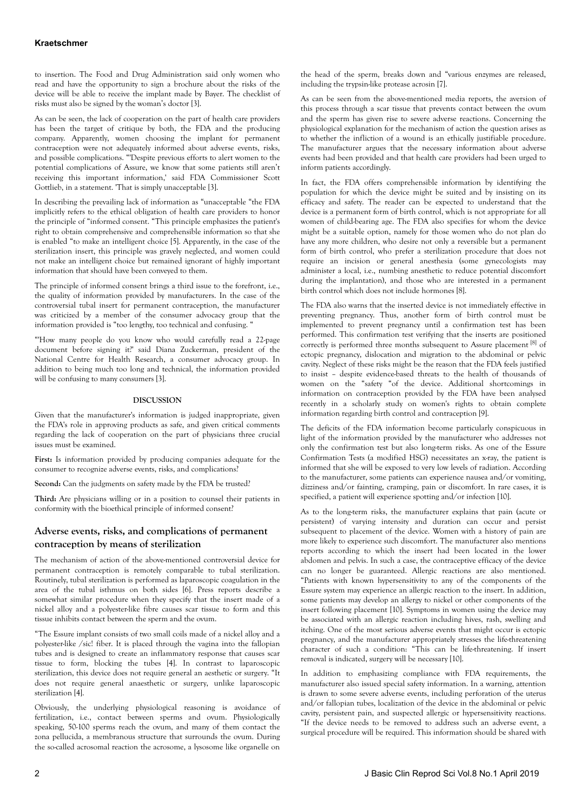# **Kraetschmer**

to insertion. The Food and Drug Administration said only women who read and have the opportunity to sign a brochure about the risks of the device will be able to receive the implant made by Bayer. The checklist of risks must also be signed by the woman's doctor [3].

As can be seen, the lack of cooperation on the part of health care providers has been the target of critique by both, the FDA and the producing company. Apparently, women choosing the implant for permanent contraception were not adequately informed about adverse events, risks, and possible complications. "'Despite previous efforts to alert women to the potential complications of Assure, we know that some patients still aren't receiving this important information,' said FDA Commissioner Scott Gottlieb, in a statement. 'That is simply unacceptable [3].

In describing the prevailing lack of information as "unacceptable "the FDA implicitly refers to the ethical obligation of health care providers to honor the principle of "informed consent. "This principle emphasizes the patient's right to obtain comprehensive and comprehensible information so that she is enabled "to make an intelligent choice [5]. Apparently, in the case of the sterilization insert, this principle was gravely neglected, and women could not make an intelligent choice but remained ignorant of highly important information that should have been conveyed to them.

The principle of informed consent brings a third issue to the forefront, i.e., the quality of information provided by manufacturers. In the case of the controversial tubal insert for permanent contraception, the manufacturer was criticized by a member of the consumer advocacy group that the information provided is "too lengthy, too technical and confusing. "

"'How many people do you know who would carefully read a 22-page document before signing it?' said Diana Zuckerman, president of the National Centre for Health Research, a consumer advocacy group. In addition to being much too long and technical, the information provided will be confusing to many consumers [3].

#### **DISCUSSION**

Given that the manufacturer's information is judged inappropriate, given the FDA's role in approving products as safe, and given critical comments regarding the lack of cooperation on the part of physicians three crucial issues must be examined.

First: Is information provided by producing companies adequate for the consumer to recognize adverse events, risks, and complications?

**Second:** Can the judgments on safety made by the FDA be trusted?

**Third:** Are physicians willing or in a position to counsel their patients in conformity with the bioethical principle of informed consent?

# **Adverse events, risks, and complications of permanent contraception by means of sterilization**

The mechanism of action of the above-mentioned controversial device for permanent contraception is remotely comparable to tubal sterilization. Routinely, tubal sterilization is performed as laparoscopic coagulation in the area of the tubal isthmus on both sides [6]. Press reports describe a somewhat similar procedure when they specify that the insert made of a nickel alloy and a polyester-like fibre causes scar tissue to form and this tissue inhibits contact between the sperm and the ovum.

"The Essure implant consists of two small coils made of a nickel alloy and a polyester-like /sic! fiber. It is placed through the vagina into the fallopian tubes and is designed to create an inflammatory response that causes scar tissue to form, blocking the tubes [4]. In contrast to laparoscopic sterilization, this device does not require general an aesthetic or surgery. "It does not require general anaesthetic or surgery, unlike laparoscopic sterilization [4].

Obviously, the underlying physiological reasoning is avoidance of fertilization, i.e., contact between sperms and ovum. Physiologically speaking, 50-100 sperms reach the ovum, and many of them contact the zona pellucida, a membranous structure that surrounds the ovum. During the so-called acrosomal reaction the acrosome, a lysosome like organelle on

the head of the sperm, breaks down and "various enzymes are released, including the trypsin-like protease acrosin [7].

As can be seen from the above-mentioned media reports, the aversion of this process through a scar tissue that prevents contact between the ovum and the sperm has given rise to severe adverse reactions. Concerning the physiological explanation for the mechanism of action the question arises as to whether the infliction of a wound is an ethically justifiable procedure. The manufacturer argues that the necessary information about adverse events had been provided and that health care providers had been urged to inform patients accordingly.

In fact, the FDA offers comprehensible information by identifying the population for which the device might be suited and by insisting on its efficacy and safety. The reader can be expected to understand that the device is a permanent form of birth control, which is not appropriate for all women of child-bearing age. The FDA also specifies for whom the device might be a suitable option, namely for those women who do not plan do have any more children, who desire not only a reversible but a permanent form of birth control, who prefer a sterilization procedure that does not require an incision or general anesthesia (some gynecologists may administer a local, i.e., numbing anesthetic to reduce potential discomfort during the implantation), and those who are interested in a permanent birth control which does not include hormones [8].

The FDA also warns that the inserted device is not immediately effective in preventing pregnancy. Thus, another form of birth control must be implemented to prevent pregnancy until a confirmation test has been performed. This confirmation test verifying that the inserts are positioned correctly is performed three months subsequent to Assure placement [8] of ectopic pregnancy, dislocation and migration to the abdominal or pelvic cavity. Neglect of these risks might be the reason that the FDA feels justified to insist – despite evidence-based threats to the health of thousands of women on the "safety "of the device. Additional shortcomings in information on contraception provided by the FDA have been analysed recently in a scholarly study on women's rights to obtain complete information regarding birth control and contraception [9].

The deficits of the FDA information become particularly conspicuous in light of the information provided by the manufacturer who addresses not only the confirmation test but also long-term risks. As one of the Essure Confirmation Tests (a modified HSG) necessitates an x-ray, the patient is informed that she will be exposed to very low levels of radiation. According to the manufacturer, some patients can experience nausea and/or vomiting, dizziness and/or fainting, cramping, pain or discomfort. In rare cases, it is specified, a patient will experience spotting and/or infection [10].

As to the long-term risks, the manufacturer explains that pain (acute or persistent) of varying intensity and duration can occur and persist subsequent to placement of the device. Women with a history of pain are more likely to experience such discomfort. The manufacturer also mentions reports according to which the insert had been located in the lower abdomen and pelvis. In such a case, the contraceptive efficacy of the device can no longer be guaranteed. Allergic reactions are also mentioned. "Patients with known hypersensitivity to any of the components of the Essure system may experience an allergic reaction to the insert. In addition, some patients may develop an allergy to nickel or other components of the insert following placement [10]. Symptoms in women using the device may be associated with an allergic reaction including hives, rash, swelling and itching. One of the most serious adverse events that might occur is ectopic pregnancy, and the manufacturer appropriately stresses the life-threatening character of such a condition: "This can be life-threatening. If insert removal is indicated, surgery will be necessary [10].

In addition to emphasizing compliance with FDA requirements, the manufacturer also issued special safety information. In a warning, attention is drawn to some severe adverse events, including perforation of the uterus and/or fallopian tubes, localization of the device in the abdominal or pelvic cavity, persistent pain, and suspected allergic or hypersensitivity reactions. "If the device needs to be removed to address such an adverse event, a surgical procedure will be required. This information should be shared with